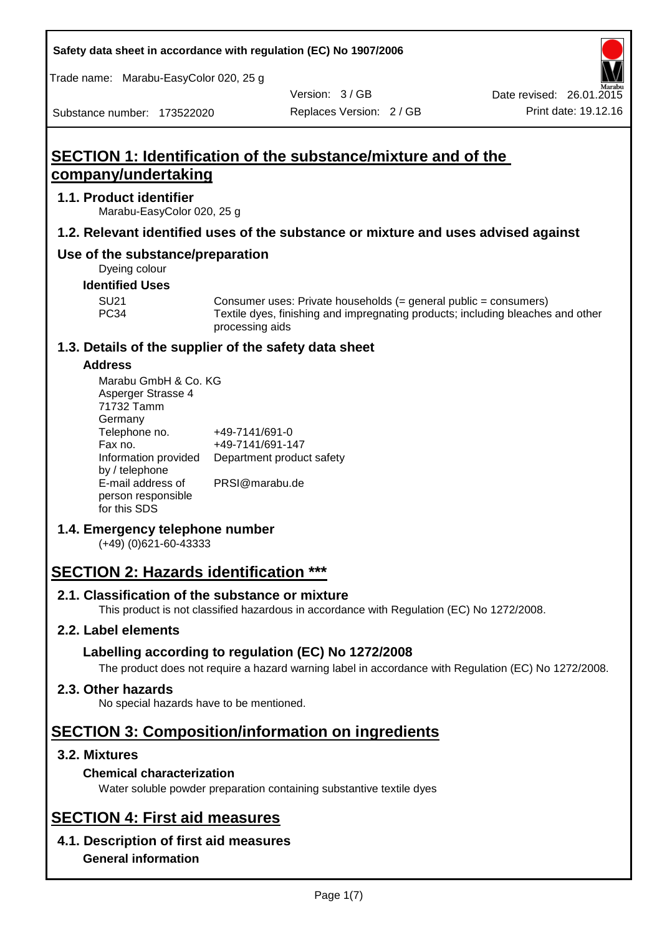Trade name: Marabu-EasyColor 020, 25 g

Version: 3 / GB

Substance number: 173522020

# **SECTION 1: Identification of the substance/mixture and of the company/undertaking**

### **1.1. Product identifier**

Marabu-EasyColor 020, 25 g

# **1.2. Relevant identified uses of the substance or mixture and uses advised against**

# **Use of the substance/preparation**

Dyeing colour

### **Identified Uses**

SU21 Consumer uses: Private households (= general public = consumers)<br>PC34 Textile dyes, finishing and impregnating products: including bleaches Textile dyes, finishing and impregnating products; including bleaches and other processing aids

# **1.3. Details of the supplier of the safety data sheet**

### **Address**

| Marabu GmbH & Co. KG      |  |  |  |  |  |
|---------------------------|--|--|--|--|--|
|                           |  |  |  |  |  |
|                           |  |  |  |  |  |
|                           |  |  |  |  |  |
| +49-7141/691-0            |  |  |  |  |  |
| +49-7141/691-147          |  |  |  |  |  |
| Department product safety |  |  |  |  |  |
|                           |  |  |  |  |  |
| PRSI@marabu.de            |  |  |  |  |  |
|                           |  |  |  |  |  |
|                           |  |  |  |  |  |
|                           |  |  |  |  |  |

# **1.4. Emergency telephone number**

(+49) (0)621-60-43333

# **SECTION 2: Hazards identification \*\*\***

# **2.1. Classification of the substance or mixture**

This product is not classified hazardous in accordance with Regulation (EC) No 1272/2008.

# **2.2. Label elements**

# **Labelling according to regulation (EC) No 1272/2008**

The product does not require a hazard warning label in accordance with Regulation (EC) No 1272/2008.

# **2.3. Other hazards**

No special hazards have to be mentioned.

# **SECTION 3: Composition/information on ingredients**

# **3.2. Mixtures**

# **Chemical characterization**

Water soluble powder preparation containing substantive textile dyes

# **SECTION 4: First aid measures**

# **4.1. Description of first aid measures**

**General information**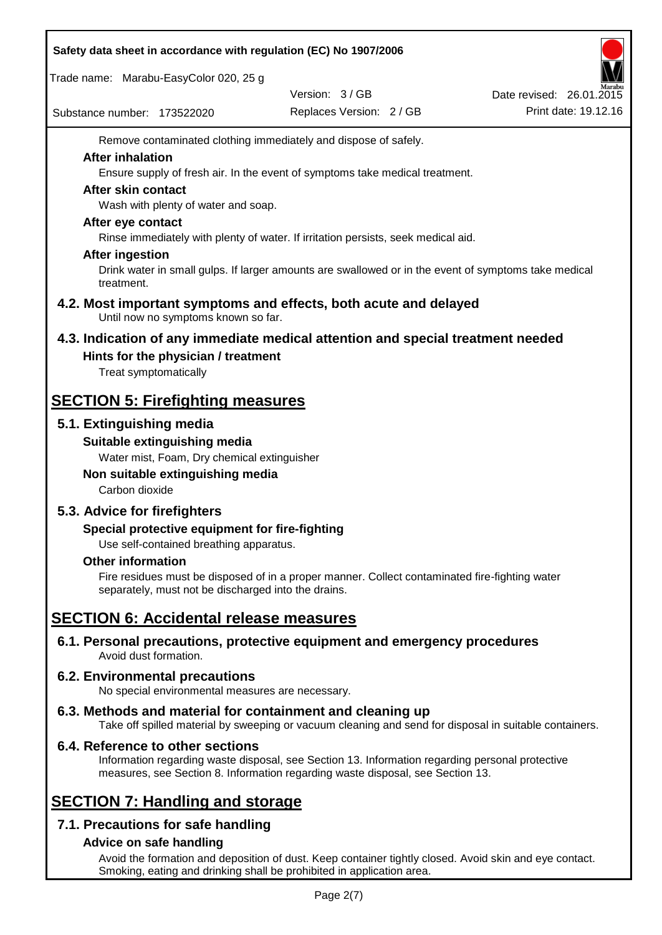| Safety data sheet in accordance with regulation (EC) No 1907/2006 |                                                                                              |                |                                                                                                                                                                                                                                                                                                                                                                                     |                                           |  |                                                  |
|-------------------------------------------------------------------|----------------------------------------------------------------------------------------------|----------------|-------------------------------------------------------------------------------------------------------------------------------------------------------------------------------------------------------------------------------------------------------------------------------------------------------------------------------------------------------------------------------------|-------------------------------------------|--|--------------------------------------------------|
|                                                                   |                                                                                              |                | Trade name: Marabu-EasyColor 020, 25 g                                                                                                                                                                                                                                                                                                                                              |                                           |  |                                                  |
|                                                                   |                                                                                              |                | Substance number: 173522020                                                                                                                                                                                                                                                                                                                                                         | Version: 3/GB<br>Replaces Version: 2 / GB |  | Date revised: 26.01.2015<br>Print date: 19.12.16 |
|                                                                   | <b>After inhalation</b><br>After skin contact<br>After eye contact<br><b>After ingestion</b> | treatment.     | Remove contaminated clothing immediately and dispose of safely.<br>Ensure supply of fresh air. In the event of symptoms take medical treatment.<br>Wash with plenty of water and soap.<br>Rinse immediately with plenty of water. If irritation persists, seek medical aid.<br>Drink water in small gulps. If larger amounts are swallowed or in the event of symptoms take medical |                                           |  |                                                  |
|                                                                   |                                                                                              |                | 4.2. Most important symptoms and effects, both acute and delayed<br>Until now no symptoms known so far.                                                                                                                                                                                                                                                                             |                                           |  |                                                  |
|                                                                   |                                                                                              |                | 4.3. Indication of any immediate medical attention and special treatment needed<br>Hints for the physician / treatment<br>Treat symptomatically                                                                                                                                                                                                                                     |                                           |  |                                                  |
|                                                                   |                                                                                              |                | <b>SECTION 5: Firefighting measures</b>                                                                                                                                                                                                                                                                                                                                             |                                           |  |                                                  |
|                                                                   |                                                                                              | Carbon dioxide | 5.1. Extinguishing media<br>Suitable extinguishing media<br>Water mist, Foam, Dry chemical extinguisher<br>Non suitable extinguishing media                                                                                                                                                                                                                                         |                                           |  |                                                  |
|                                                                   | <b>Other information</b>                                                                     |                | 5.3. Advice for firefighters<br>Special protective equipment for fire-fighting<br>Use self-contained breathing apparatus.<br>Fire residues must be disposed of in a proper manner. Collect contaminated fire-fighting water<br>separately, must not be discharged into the drains.                                                                                                  |                                           |  |                                                  |
|                                                                   |                                                                                              |                | <b>SECTION 6: Accidental release measures</b>                                                                                                                                                                                                                                                                                                                                       |                                           |  |                                                  |
|                                                                   |                                                                                              |                | 6.1. Personal precautions, protective equipment and emergency procedures<br>Avoid dust formation.                                                                                                                                                                                                                                                                                   |                                           |  |                                                  |
|                                                                   |                                                                                              |                | <b>6.2. Environmental precautions</b><br>No special environmental measures are necessary.                                                                                                                                                                                                                                                                                           |                                           |  |                                                  |
|                                                                   |                                                                                              |                | 6.3. Methods and material for containment and cleaning up<br>Take off spilled material by sweeping or vacuum cleaning and send for disposal in suitable containers.                                                                                                                                                                                                                 |                                           |  |                                                  |
|                                                                   |                                                                                              |                | 6.4. Reference to other sections<br>Information regarding waste disposal, see Section 13. Information regarding personal protective<br>measures, see Section 8. Information regarding waste disposal, see Section 13.                                                                                                                                                               |                                           |  |                                                  |
|                                                                   |                                                                                              |                | <b>SECTION 7: Handling and storage</b>                                                                                                                                                                                                                                                                                                                                              |                                           |  |                                                  |
|                                                                   |                                                                                              |                | 7.1. Precautions for safe handling                                                                                                                                                                                                                                                                                                                                                  |                                           |  |                                                  |
|                                                                   |                                                                                              |                | Advice on safe handling                                                                                                                                                                                                                                                                                                                                                             |                                           |  |                                                  |

Avoid the formation and deposition of dust. Keep container tightly closed. Avoid skin and eye contact. Smoking, eating and drinking shall be prohibited in application area.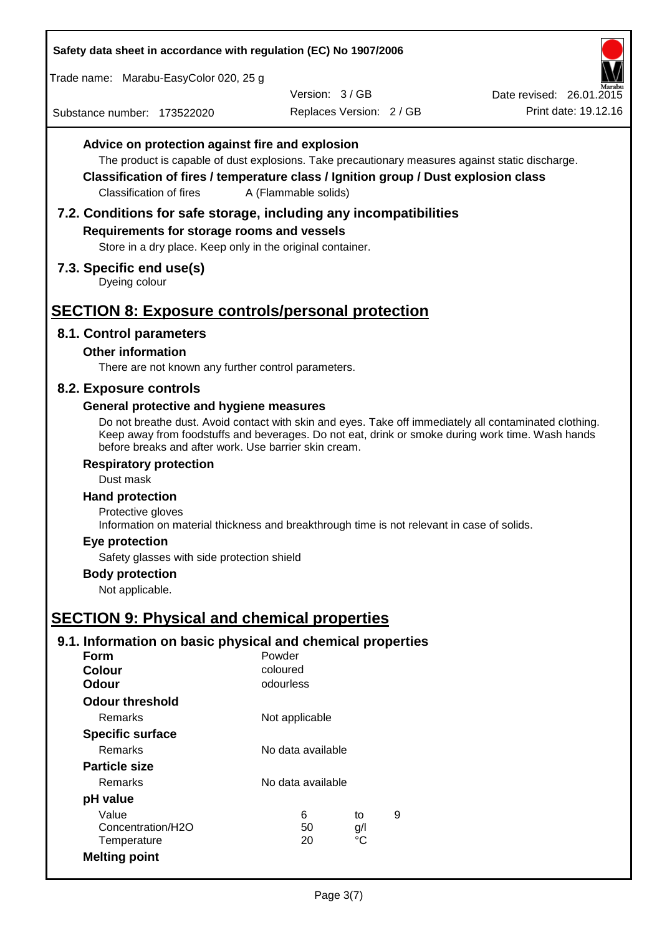Trade name: Marabu-EasyColor 020, 25 g

Substance number: 173522020

Version: 3 / GB

Replaces Version: 2 / GB Print date: 19.12.16 Date revised: 26.01.2015

# **Advice on protection against fire and explosion**

The product is capable of dust explosions. Take precautionary measures against static discharge.

**Classification of fires / temperature class / Ignition group / Dust explosion class** Classification of fires A (Flammable solids)

### **7.2. Conditions for safe storage, including any incompatibilities**

### **Requirements for storage rooms and vessels**

Store in a dry place. Keep only in the original container.

#### **7.3. Specific end use(s)**

Dyeing colour

# **SECTION 8: Exposure controls/personal protection**

#### **8.1. Control parameters**

#### **Other information**

There are not known any further control parameters.

#### **8.2. Exposure controls**

#### **General protective and hygiene measures**

Do not breathe dust. Avoid contact with skin and eyes. Take off immediately all contaminated clothing. Keep away from foodstuffs and beverages. Do not eat, drink or smoke during work time. Wash hands before breaks and after work. Use barrier skin cream.

#### **Respiratory protection**

Dust mask

#### **Hand protection**

Protective gloves Information on material thickness and breakthrough time is not relevant in case of solids.

#### **Eye protection**

Safety glasses with side protection shield

# **Body protection**

Not applicable.

# **SECTION 9: Physical and chemical properties**

### **9.1. Information on basic physical and chemical properties**

| Form                    | Powder            |                   |   |  |  |
|-------------------------|-------------------|-------------------|---|--|--|
| <b>Colour</b>           | coloured          |                   |   |  |  |
| <b>Odour</b>            | odourless         |                   |   |  |  |
| <b>Odour threshold</b>  |                   |                   |   |  |  |
| Remarks                 | Not applicable    |                   |   |  |  |
| <b>Specific surface</b> |                   |                   |   |  |  |
| Remarks                 |                   | No data available |   |  |  |
| <b>Particle size</b>    |                   |                   |   |  |  |
| Remarks                 | No data available |                   |   |  |  |
| pH value                |                   |                   |   |  |  |
| Value                   | 6                 | to                | 9 |  |  |
| Concentration/H2O       | 50                | g/l               |   |  |  |
| Temperature             | 20                | °C                |   |  |  |
| <b>Melting point</b>    |                   |                   |   |  |  |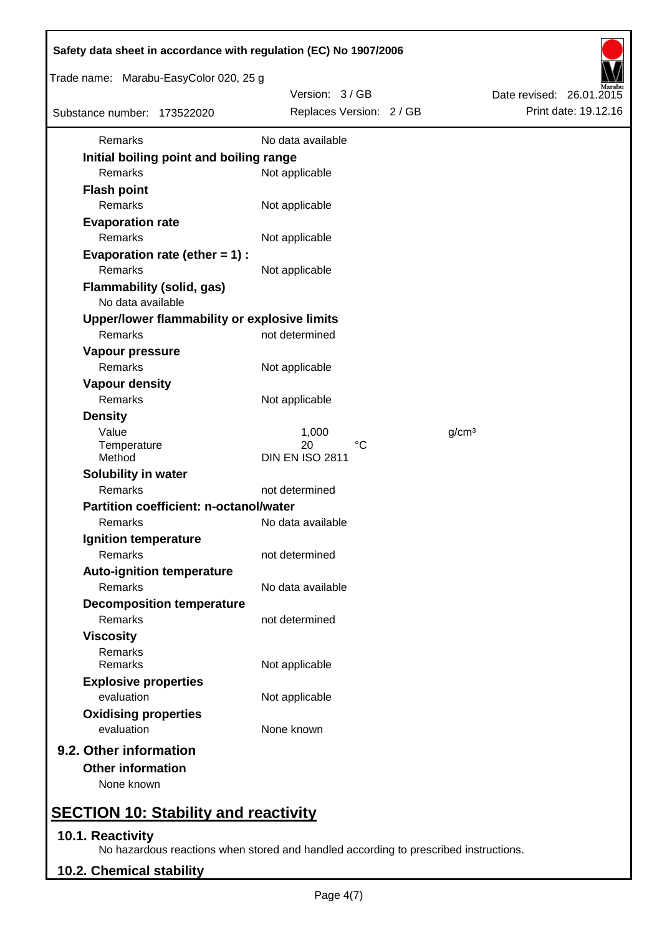| Safety data sheet in accordance with regulation (EC) No 1907/2006 |            |                          |  |  |                   |                          |  |
|-------------------------------------------------------------------|------------|--------------------------|--|--|-------------------|--------------------------|--|
| Trade name: Marabu-EasyColor 020, 25 g                            |            |                          |  |  |                   |                          |  |
|                                                                   |            | Version: 3/GB            |  |  |                   | Date revised: 26.01.2015 |  |
| Substance number: 173522020                                       |            | Replaces Version: 2 / GB |  |  |                   | Print date: 19.12.16     |  |
| Remarks                                                           |            | No data available        |  |  |                   |                          |  |
| Initial boiling point and boiling range                           |            |                          |  |  |                   |                          |  |
| <b>Remarks</b>                                                    |            | Not applicable           |  |  |                   |                          |  |
| <b>Flash point</b>                                                |            |                          |  |  |                   |                          |  |
| Remarks                                                           |            | Not applicable           |  |  |                   |                          |  |
| <b>Evaporation rate</b>                                           |            |                          |  |  |                   |                          |  |
| Remarks                                                           |            | Not applicable           |  |  |                   |                          |  |
| Evaporation rate (ether $= 1$ ) :                                 |            |                          |  |  |                   |                          |  |
| Remarks                                                           |            | Not applicable           |  |  |                   |                          |  |
| <b>Flammability (solid, gas)</b>                                  |            |                          |  |  |                   |                          |  |
| No data available                                                 |            |                          |  |  |                   |                          |  |
| Upper/lower flammability or explosive limits                      |            |                          |  |  |                   |                          |  |
| Remarks                                                           |            | not determined           |  |  |                   |                          |  |
| Vapour pressure                                                   |            |                          |  |  |                   |                          |  |
| Remarks                                                           |            | Not applicable           |  |  |                   |                          |  |
| <b>Vapour density</b>                                             |            |                          |  |  |                   |                          |  |
| Remarks                                                           |            | Not applicable           |  |  |                   |                          |  |
| <b>Density</b>                                                    |            |                          |  |  |                   |                          |  |
| Value                                                             |            | 1,000                    |  |  | g/cm <sup>3</sup> |                          |  |
| Temperature                                                       |            | $^{\circ}C$<br>20        |  |  |                   |                          |  |
| Method                                                            |            | <b>DIN EN ISO 2811</b>   |  |  |                   |                          |  |
| Solubility in water                                               |            |                          |  |  |                   |                          |  |
| Remarks                                                           |            | not determined           |  |  |                   |                          |  |
| <b>Partition coefficient: n-octanol/water</b>                     |            |                          |  |  |                   |                          |  |
| Remarks                                                           |            | No data available        |  |  |                   |                          |  |
| Ignition temperature                                              |            |                          |  |  |                   |                          |  |
| Remarks                                                           |            | not determined           |  |  |                   |                          |  |
| <b>Auto-ignition temperature</b>                                  |            |                          |  |  |                   |                          |  |
| Remarks                                                           |            | No data available        |  |  |                   |                          |  |
| <b>Decomposition temperature</b>                                  |            |                          |  |  |                   |                          |  |
| <b>Remarks</b>                                                    |            | not determined           |  |  |                   |                          |  |
| <b>Viscosity</b>                                                  |            |                          |  |  |                   |                          |  |
| Remarks<br>Remarks                                                |            | Not applicable           |  |  |                   |                          |  |
| <b>Explosive properties</b>                                       |            |                          |  |  |                   |                          |  |
| evaluation                                                        |            | Not applicable           |  |  |                   |                          |  |
| <b>Oxidising properties</b>                                       |            |                          |  |  |                   |                          |  |
| evaluation                                                        | None known |                          |  |  |                   |                          |  |
|                                                                   |            |                          |  |  |                   |                          |  |
| 9.2. Other information                                            |            |                          |  |  |                   |                          |  |
| <b>Other information</b>                                          |            |                          |  |  |                   |                          |  |
| None known                                                        |            |                          |  |  |                   |                          |  |
| <b>SECTION 10: Stability and reactivity</b>                       |            |                          |  |  |                   |                          |  |

# **10.1. Reactivity**

No hazardous reactions when stored and handled according to prescribed instructions.

# **10.2. Chemical stability**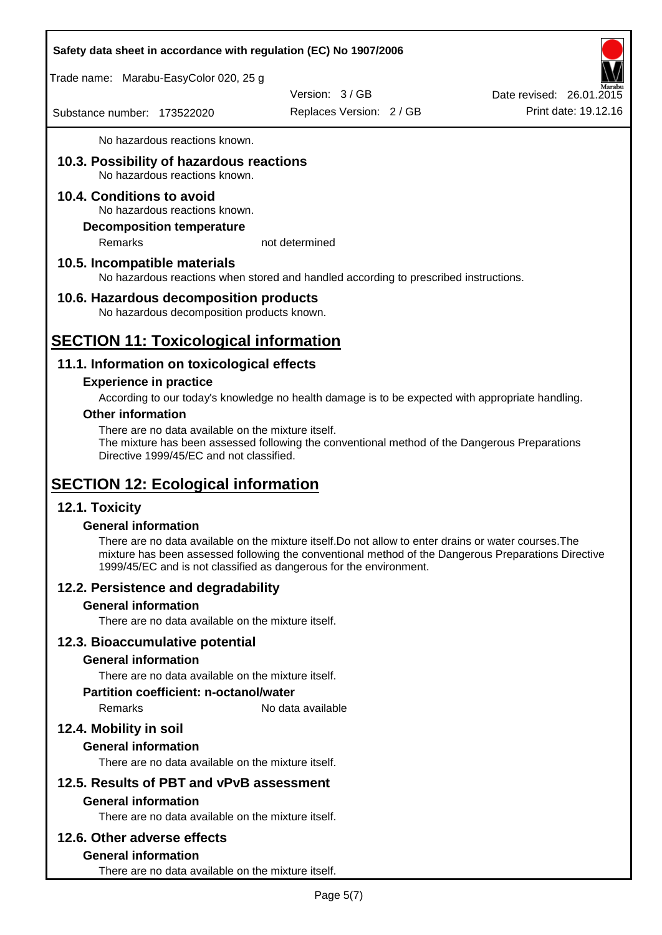Trade name: Marabu-EasyColor 020, 25 g

Version: 3 / GB

Replaces Version: 2 / GB Print date: 19.12.16 Date revised: 26.01.2015

Substance number: 173522020

No hazardous reactions known.

#### **10.3. Possibility of hazardous reactions** No hazardous reactions known.

# **10.4. Conditions to avoid**

No hazardous reactions known.

### **Decomposition temperature**

Remarks not determined

### **10.5. Incompatible materials**

No hazardous reactions when stored and handled according to prescribed instructions.

# **10.6. Hazardous decomposition products**

No hazardous decomposition products known.

# **SECTION 11: Toxicological information**

# **11.1. Information on toxicological effects**

#### **Experience in practice**

According to our today's knowledge no health damage is to be expected with appropriate handling.

#### **Other information**

There are no data available on the mixture itself.

The mixture has been assessed following the conventional method of the Dangerous Preparations Directive 1999/45/EC and not classified.

# **SECTION 12: Ecological information**

### **12.1. Toxicity**

### **General information**

There are no data available on the mixture itself.Do not allow to enter drains or water courses.The mixture has been assessed following the conventional method of the Dangerous Preparations Directive 1999/45/EC and is not classified as dangerous for the environment.

# **12.2. Persistence and degradability**

### **General information**

There are no data available on the mixture itself.

### **12.3. Bioaccumulative potential**

### **General information**

There are no data available on the mixture itself.

#### **Partition coefficient: n-octanol/water**

Remarks No data available

# **12.4. Mobility in soil**

### **General information**

There are no data available on the mixture itself.

# **12.5. Results of PBT and vPvB assessment**

### **General information**

There are no data available on the mixture itself.

### **12.6. Other adverse effects**

### **General information**

There are no data available on the mixture itself.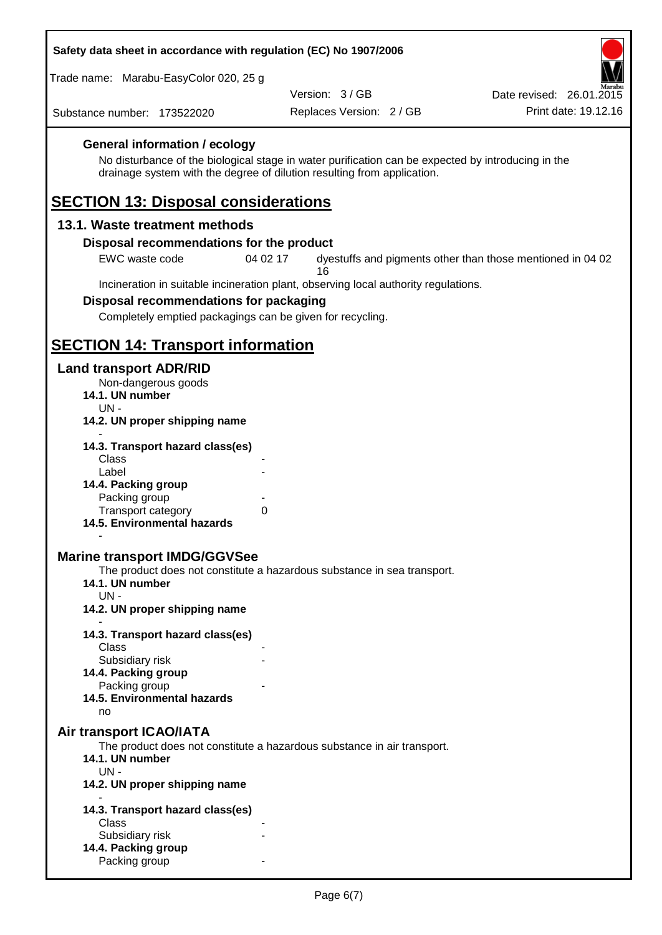Trade name: Marabu-EasyColor 020, 25 g

Version: 3 / GB

Replaces Version: 2 / GB Print date: 19.12.16 Date revised: 26.01.2015

Substance number: 173522020

# **General information / ecology**

No disturbance of the biological stage in water purification can be expected by introducing in the drainage system with the degree of dilution resulting from application.

# **SECTION 13: Disposal considerations**

### **13.1. Waste treatment methods**

#### **Disposal recommendations for the product**

EWC waste code 04 02 17 dyestuffs and pigments other than those mentioned in 04 02 16

Incineration in suitable incineration plant, observing local authority regulations.

#### **Disposal recommendations for packaging**

Completely emptied packagings can be given for recycling.

# **SECTION 14: Transport information**

#### **Land transport ADR/RID**

- Non-dangerous goods
- **14.1. UN number**
- UN **14.2. UN proper shipping name**
- **14.3. Transport hazard class(es)**
- **Class** Label **14.4. Packing group** Packing group Transport category 0
- **14.5. Environmental hazards**

### **Marine transport IMDG/GGVSee**

The product does not constitute a hazardous substance in sea transport.

- **14.1. UN number**
	- UN -

-

- **14.2. UN proper shipping name**
- **14.3. Transport hazard class(es)** Class Subsidiary risk **14.4. Packing group** Packing group **14.5. Environmental hazards**
	- no

### **Air transport ICAO/IATA**

The product does not constitute a hazardous substance in air transport.

- **14.1. UN number**
- $UN -$
- **14.2. UN proper shipping name**
- **14.3. Transport hazard class(es) Class** Subsidiary risk **14.4. Packing group** Packing group